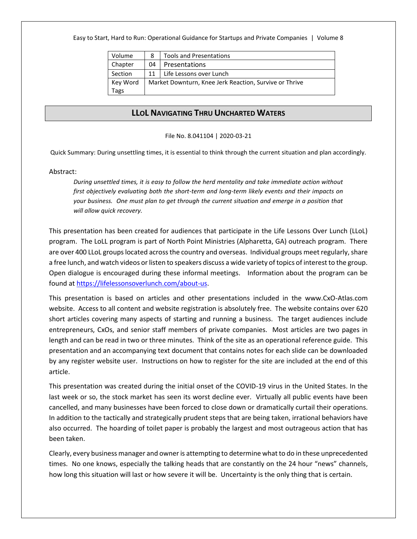Easy to Start, Hard to Run: Operational Guidance for Startups and Private Companies | Volume 8

| Volume   | 8                                                      | <b>Tools and Presentations</b> |
|----------|--------------------------------------------------------|--------------------------------|
| Chapter  | 04                                                     | Presentations                  |
| Section  | 11                                                     | Life Lessons over Lunch        |
| Key Word | Market Downturn, Knee Jerk Reaction, Survive or Thrive |                                |
| Tags     |                                                        |                                |

## **LLOL NAVIGATING THRU UNCHARTED WATERS**

### File No. 8.041104 | 2020-03-21

Quick Summary: During unsettling times, it is essential to think through the current situation and plan accordingly.

### Abstract:

*During unsettled times, it is easy to follow the herd mentality and take immediate action without first objectively evaluating both the short-term and long-term likely events and their impacts on your business. One must plan to get through the current situation and emerge in a position that will allow quick recovery.*

This presentation has been created for audiences that participate in the Life Lessons Over Lunch (LLoL) program. The LoLL program is part of North Point Ministries (Alpharetta, GA) outreach program. There are over 400 LLoL groups located across the country and overseas. Individual groups meet regularly, share a free lunch, and watch videos or listen to speakers discuss a wide variety of topics of interest to the group. Open dialogue is encouraged during these informal meetings. Information about the program can be found a[t https://lifelessonsoverlunch.com/about-us.](https://lifelessonsoverlunch.com/about-us)

This presentation is based on articles and other presentations included in the www.CxO-Atlas.com website. Access to all content and website registration is absolutely free. The website contains over 620 short articles covering many aspects of starting and running a business. The target audiences include entrepreneurs, CxOs, and senior staff members of private companies. Most articles are two pages in length and can be read in two or three minutes. Think of the site as an operational reference guide. This presentation and an accompanying text document that contains notes for each slide can be downloaded by any register website user. Instructions on how to register for the site are included at the end of this article.

This presentation was created during the initial onset of the COVID-19 virus in the United States. In the last week or so, the stock market has seen its worst decline ever. Virtually all public events have been cancelled, and many businesses have been forced to close down or dramatically curtail their operations. In addition to the tactically and strategically prudent steps that are being taken, irrational behaviors have also occurred. The hoarding of toilet paper is probably the largest and most outrageous action that has been taken.

Clearly, every business manager and owner is attempting to determine what to do in these unprecedented times. No one knows, especially the talking heads that are constantly on the 24 hour "news" channels, how long this situation will last or how severe it will be. Uncertainty is the only thing that is certain.